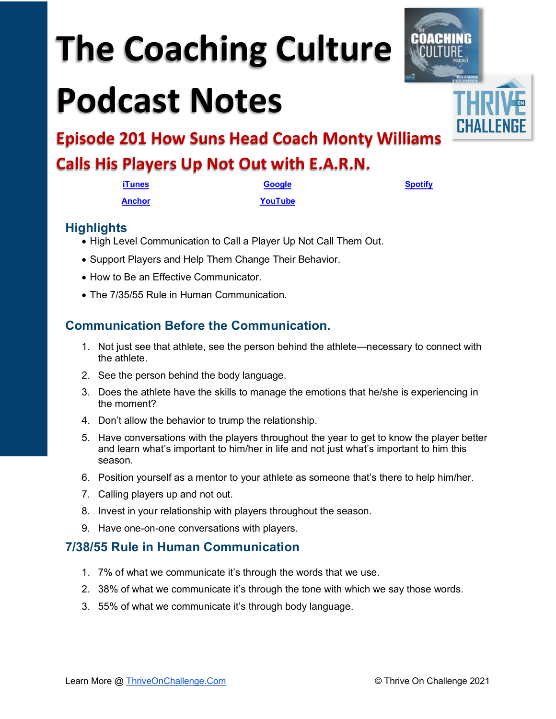# **The Coaching Culture**

## **Podcast Notes**



**Episode 201 How Suns Head Coach Monty Williams** 

### **Calls His Players Up Not Out with E.A.R.N.**

| iTunes | <b>Google</b> | <b>Spotify</b> |
|--------|---------------|----------------|
| Anchor | YouTube       |                |

#### **Highlights**

- High Level Communication to Call a Player Up Not Call Them Out.
- Support Players and Help Them Change Their Behavior.
- How to Be an Effective Communicator.
- The 7/35/55 Rule in Human Communication.

#### **Communication Before the Communication.**

- 1. Not just see that athlete, see the person behind the athlete—necessary to connect with the athlete.
- 2. See the person behind the body language.
- 3. Does the athlete have the skills to manage the emotions that he/she is experiencing in the moment?
- 4. Don't allow the behavior to trump the relationship.
- 5. Have conversations with the players throughout the year to get to know the player better and learn what's important to him/her in life and not just what's important to him this season.
- 6. Position yourself as a mentor to your athlete as someone that's there to help him/her.
- 7. Calling players up and not out.
- 8. Invest in your relationship with players throughout the season.
- 9. Have one-on-one conversations with players.

#### **7/38/55 Rule in Human Communication**

- 1. 7% of what we communicate it's through the words that we use.
- 2. 38% of what we communicate it's through the tone with which we say those words.
- 3. 55% of what we communicate it's through body language.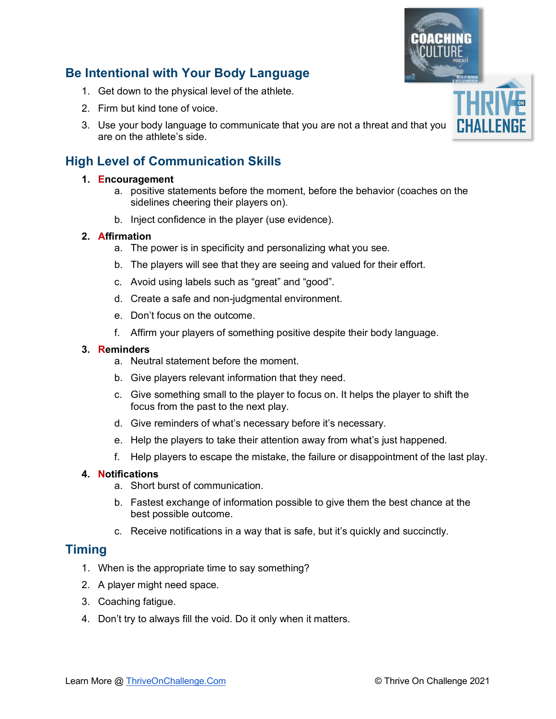## Learn More @ [ThriveOnChallenge.Com](https://thriveonchallenge.com/) © Thrive On Challenge 2021

#### **Be Intentional with Your Body Language**

- 1. Get down to the physical level of the athlete.
- 2. Firm but kind tone of voice.
- 3. Use your body language to communicate that you are not a threat and that you are on the athlete's side.

#### **High Level of Communication Skills**

#### **1. Encouragement**

- a. positive statements before the moment, before the behavior (coaches on the sidelines cheering their players on).
- b. Inject confidence in the player (use evidence).

#### **2. Affirmation**

- a. The power is in specificity and personalizing what you see.
- b. The players will see that they are seeing and valued for their effort.
- c. Avoid using labels such as "great" and "good".
- d. Create a safe and non-judgmental environment.
- e. Don't focus on the outcome.
- f. Affirm your players of something positive despite their body language.

#### **3. Reminders**

- a. Neutral statement before the moment.
- b. Give players relevant information that they need.
- c. Give something small to the player to focus on. It helps the player to shift the focus from the past to the next play.
- d. Give reminders of what's necessary before it's necessary.
- e. Help the players to take their attention away from what's just happened.
- f. Help players to escape the mistake, the failure or disappointment of the last play.

#### **4. Notifications**

- a. Short burst of communication.
- b. Fastest exchange of information possible to give them the best chance at the best possible outcome.
- c. Receive notifications in a way that is safe, but it's quickly and succinctly.

#### **Timing**

- 1. When is the appropriate time to say something?
- 2. A player might need space.
- 3. Coaching fatigue.
- 4. Don't try to always fill the void. Do it only when it matters.